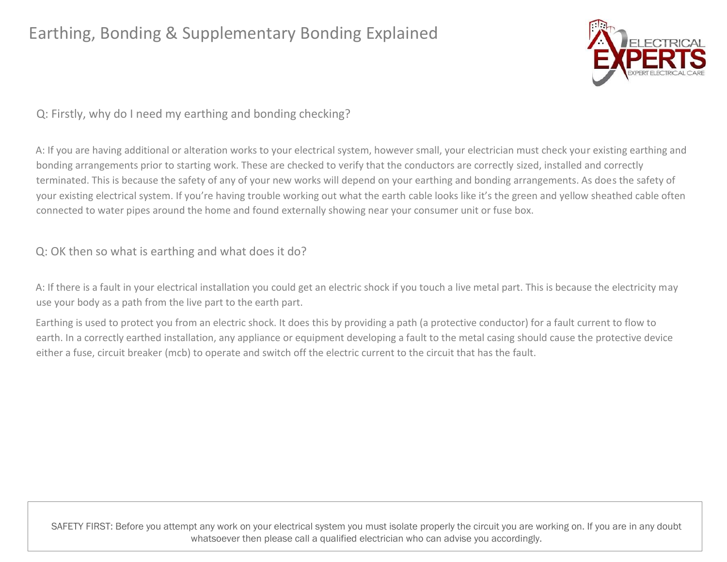

Q: Firstly, why do I need my earthing and bonding checking?

A: If you are having additional or alteration works to your electrical system, however small, your electrician must check your existing earthing and bonding arrangements prior to starting work. These are checked to verify that the conductors are correctly sized, installed and correctly terminated. This is because the safety of any of your new works will depend on your earthing and bonding arrangements. As does the safety of your existing electrical system. If you're having trouble working out what the earth cable looks like it's the green and yellow sheathed cable often connected to water pipes around the home and found externally showing near your consumer unit or fuse box.

Q: OK then so what is earthing and what does it do?

A: If there is a fault in your electrical installation you could get an electric shock if you touch a live metal part. This is because the electricity may use your body as a path from the live part to the earth part.

Earthing is used to protect you from an electric shock. It does this by providing a path (a protective conductor) for a fault current to flow to earth. In a correctly earthed installation, any appliance or equipment developing a fault to the metal casing should cause the protective device either a fuse, circuit breaker (mcb) to operate and switch off the electric current to the circuit that has the fault.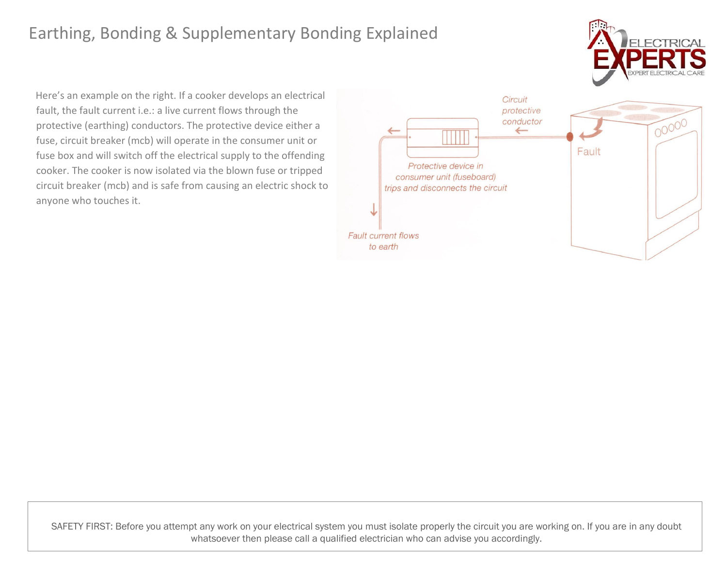

Here's an example on the right. If a cooker develops an electrical fault, the fault current i.e.: a live current flows through the protective (earthing) conductors. The protective device either a fuse, circuit breaker (mcb) will operate in the consumer unit or fuse box and will switch off the electrical supply to the offending cooker. The cooker is now isolated via the blown fuse or tripped circuit breaker (mcb) and is safe from causing an electric shock to anyone who touches it.

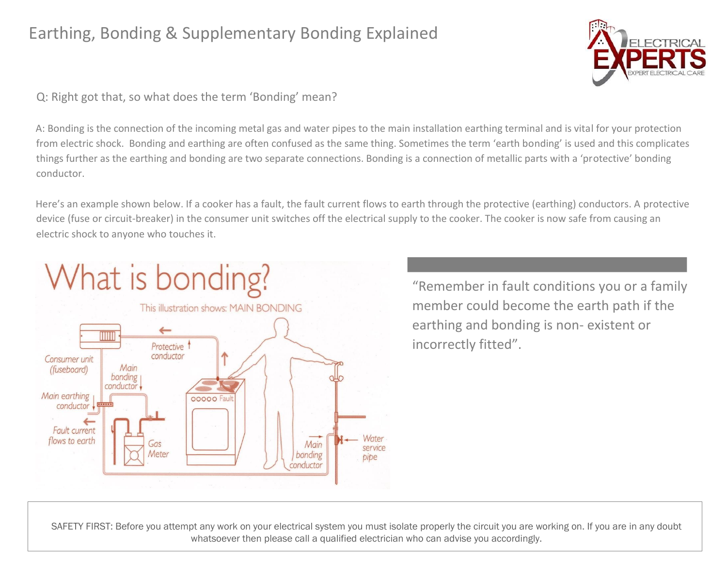

Q: Right got that, so what does the term 'Bonding' mean?

A: Bonding is the connection of the incoming metal gas and water pipes to the main installation earthing terminal and is vital for your protection from electric shock. Bonding and earthing are often confused as the same thing. Sometimes the term 'earth bonding' is used and this complicates things further as the earthing and bonding are two separate connections. Bonding is a connection of metallic parts with a 'protective' bonding conductor.

Here's an example shown below. If a cooker has a fault, the fault current flows to earth through the protective (earthing) conductors. A protective device (fuse or circuit-breaker) in the consumer unit switches off the electrical supply to the cooker. The cooker is now safe from causing an electric shock to anyone who touches it.



"Remember in fault conditions you or a family member could become the earth path if the earthing and bonding is non- existent or incorrectly fitted".